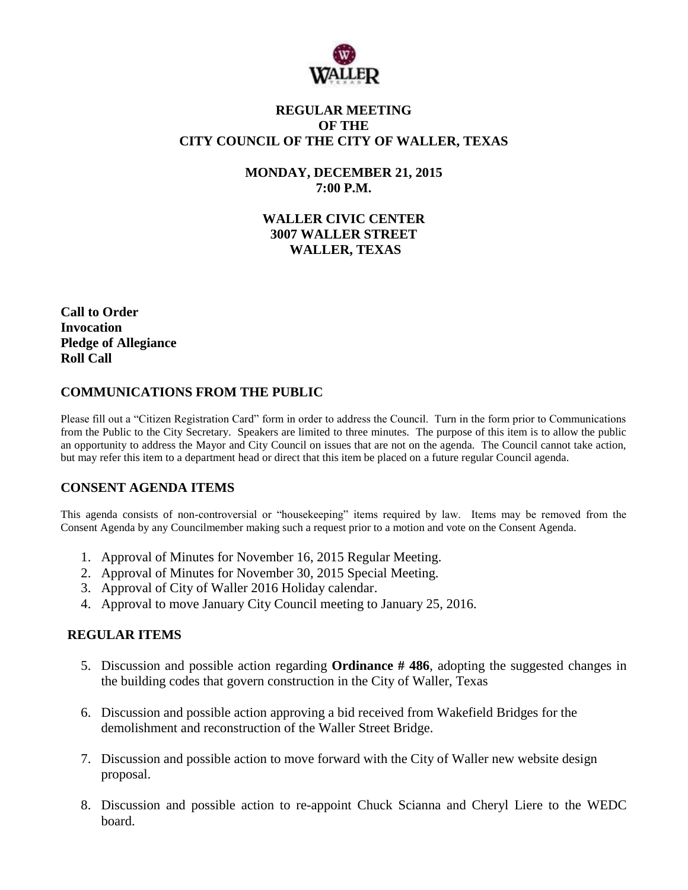

## **REGULAR MEETING OF THE CITY COUNCIL OF THE CITY OF WALLER, TEXAS**

**MONDAY, DECEMBER 21, 2015 7:00 P.M.**

**WALLER CIVIC CENTER 3007 WALLER STREET WALLER, TEXAS**

**Call to Order Invocation Pledge of Allegiance Roll Call**

## **COMMUNICATIONS FROM THE PUBLIC**

Please fill out a "Citizen Registration Card" form in order to address the Council. Turn in the form prior to Communications from the Public to the City Secretary. Speakers are limited to three minutes. The purpose of this item is to allow the public an opportunity to address the Mayor and City Council on issues that are not on the agenda. The Council cannot take action, but may refer this item to a department head or direct that this item be placed on a future regular Council agenda.

## **CONSENT AGENDA ITEMS**

This agenda consists of non-controversial or "housekeeping" items required by law. Items may be removed from the Consent Agenda by any Councilmember making such a request prior to a motion and vote on the Consent Agenda.

- 1. Approval of Minutes for November 16, 2015 Regular Meeting.
- 2. Approval of Minutes for November 30, 2015 Special Meeting.
- 3. Approval of City of Waller 2016 Holiday calendar.
- 4. Approval to move January City Council meeting to January 25, 2016.

## **REGULAR ITEMS**

- 5. Discussion and possible action regarding **Ordinance # 486**, adopting the suggested changes in the building codes that govern construction in the City of Waller, Texas
- 6. Discussion and possible action approving a bid received from Wakefield Bridges for the demolishment and reconstruction of the Waller Street Bridge.
- 7. Discussion and possible action to move forward with the City of Waller new website design proposal.
- 8. Discussion and possible action to re-appoint Chuck Scianna and Cheryl Liere to the WEDC board.